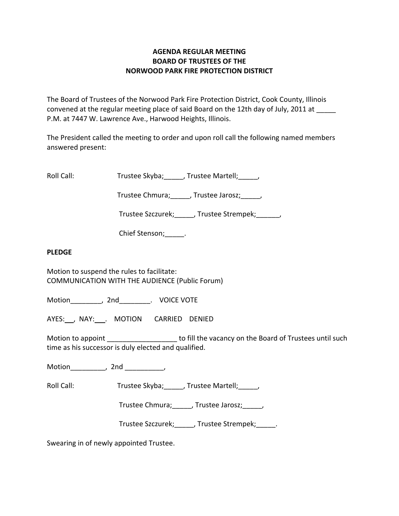## **AGENDA REGULAR MEETING BOARD OF TRUSTEES OF THE NORWOOD PARK FIRE PROTECTION DISTRICT**

The Board of Trustees of the Norwood Park Fire Protection District, Cook County, Illinois convened at the regular meeting place of said Board on the 12th day of July, 2011 at P.M. at 7447 W. Lawrence Ave., Harwood Heights, Illinois.

The President called the meeting to order and upon roll call the following named members answered present:

Roll Call: Trustee Skyba; Jrustee Martell;

Trustee Chmura; frustee Jarosz; frustee Ohmura; die Jarosz; die Jarosz; die Jarosz; die Jarosz; die J

Trustee Szczurek; frustee Strempek; frustee Strempek;

Chief Stenson; The Rights

### **PLEDGE**

Motion to suspend the rules to facilitate: COMMUNICATION WITH THE AUDIENCE (Public Forum)

Motion \_\_\_\_\_\_\_\_, 2nd \_\_\_\_\_\_\_\_. VOICE VOTE

AYES: , NAY: . MOTION CARRIED DENIED

Motion to appoint \_\_\_\_\_\_\_\_\_\_\_\_\_\_\_\_\_\_\_\_ to fill the vacancy on the Board of Trustees until such time as his successor is duly elected and qualified.

Motion\_\_\_\_\_\_\_\_\_, 2nd \_\_\_\_\_\_\_\_\_\_,

Roll Call: Trustee Skyba; J. Trustee Martell; Trustee Martell;

Trustee Chmura;\_\_\_\_\_, Trustee Jarosz;\_\_\_\_\_,

Trustee Szczurek; J. Trustee Strempek; L.

Swearing in of newly appointed Trustee.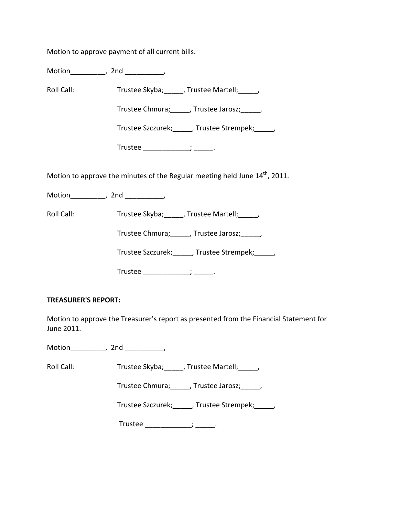Motion to approve payment of all current bills.

Motion\_\_\_\_\_\_\_\_\_, 2nd \_\_\_\_\_\_\_\_\_\_,

Roll Call: Trustee Skyba; Trustee Martell; Trustee Martell;

Trustee Chmura; frustee Jarosz; frustee Jarosz;

Trustee Szczurek; Frustee Strempek; Frustee Strempek;

Trustee  $\frac{1}{\sqrt{1-\frac{1}{2}}}\frac{1}{\sqrt{1-\frac{1}{2}}}\cdots$ 

Motion to approve the minutes of the Regular meeting held June  $14<sup>th</sup>$ , 2011.

Motion the motion of the motion of the motion of the motion of the motion of the motion of the motion of the m<br>Second motion of the motion of the motion of the motion of the motion of the motion of the motion of the motio<br>

Roll Call: Trustee Skyba; J. Trustee Martell; Trustee Martell;

Trustee Chmura; J. Trustee Jarosz; J.

Trustee Szczurek;\_\_\_\_\_, Trustee Strempek;\_\_\_\_\_,

Trustee \_\_\_\_\_\_\_\_\_\_\_\_\_; \_\_\_\_\_\_.

# **TREASURER'S REPORT:**

Motion to approve the Treasurer's report as presented from the Financial Statement for June 2011.

Motion\_\_\_\_\_\_\_\_\_\_, 2nd \_\_\_\_\_\_\_\_\_\_,

Roll Call: Trustee Skyba; \_\_\_\_, Trustee Martell; \_\_\_\_,

Trustee Chmura;\_\_\_\_\_, Trustee Jarosz;\_\_\_\_\_,

Trustee Szczurek; frustee Strempek; frustee Strempek;

Trustee \_\_\_\_\_\_\_\_\_\_\_\_\_\_; \_\_\_\_\_\_.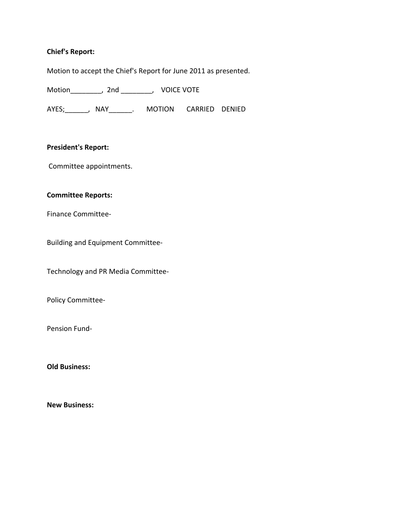### **Chief's Report:**

Motion to accept the Chief's Report for June 2011 as presented.

Motion\_\_\_\_\_\_\_\_, 2nd \_\_\_\_\_\_\_\_, VOICE VOTE

AYES; NAY NAY MOTION CARRIED DENIED

#### **President's Report:**

Committee appointments.

### **Committee Reports:**

Finance Committee‐

Building and Equipment Committee‐

Technology and PR Media Committee‐

Policy Committee‐

Pension Fund‐

**Old Business:**

**New Business:**